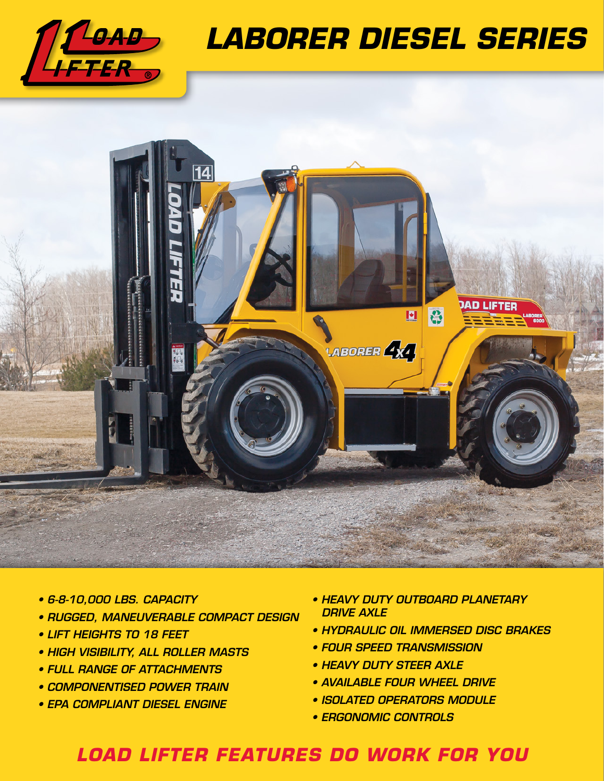

## *LABORER DIESEL SERIES*



- *6-8-10,000 LBS. CAPACITY*
- *RUGGED, MANEUVERABLE COMPACT DESIGN*
- *LIFT HEIGHTS TO 18 FEET*
- *HIGH VISIBILITY, ALL ROLLER MASTS*
- *FULL RANGE OF ATTACHMENTS*
- *COMPONENTISED POWER TRAIN*
- *EPA COMPLIANT DIESEL ENGINE*
- *HEAVY DUTY OUTBOARD PLANETARY DRIVE AXLE*
- *HYDRAULIC OIL IMMERSED DISC BRAKES*
- *FOUR SPEED TRANSMISSION*
- *HEAVY DUTY STEER AXLE*
- *AVAILABLE FOUR WHEEL DRIVE*
- *ISOLATED OPERATORS MODULE*
- *ERGONOMIC CONTROLS*

## *LOAD LIFTER FEATURES DO WORK FOR YOU*